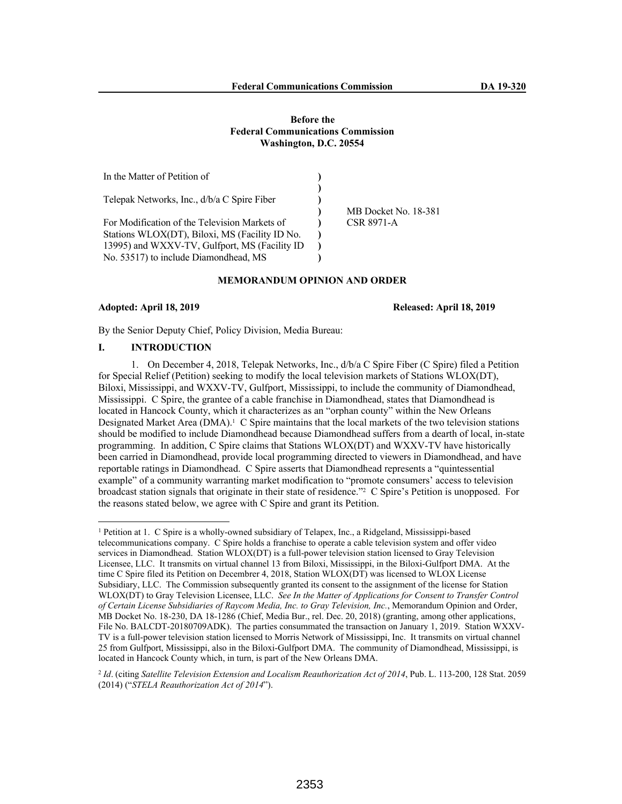#### **Before the Federal Communications Commission Washington, D.C. 20554**

| In the Matter of Petition of                   |                      |
|------------------------------------------------|----------------------|
|                                                |                      |
| Telepak Networks, Inc., d/b/a C Spire Fiber    |                      |
|                                                | MB Docket No. 18-381 |
| For Modification of the Television Markets of  | <b>CSR 8971-A</b>    |
| Stations WLOX(DT), Biloxi, MS (Facility ID No. |                      |
| 13995) and WXXV-TV, Gulfport, MS (Facility ID  |                      |
| No. 53517) to include Diamondhead, MS          |                      |

# **MEMORANDUM OPINION AND ORDER**

**Adopted: April 18, 2019 Released: April 18, 2019**

By the Senior Deputy Chief, Policy Division, Media Bureau:

# **I. INTRODUCTION**

1. On December 4, 2018, Telepak Networks, Inc., d/b/a C Spire Fiber (C Spire) filed a Petition for Special Relief (Petition) seeking to modify the local television markets of Stations WLOX(DT), Biloxi, Mississippi, and WXXV-TV, Gulfport, Mississippi, to include the community of Diamondhead, Mississippi. C Spire, the grantee of a cable franchise in Diamondhead, states that Diamondhead is located in Hancock County, which it characterizes as an "orphan county" within the New Orleans Designated Market Area (DMA).<sup>1</sup> C Spire maintains that the local markets of the two television stations should be modified to include Diamondhead because Diamondhead suffers from a dearth of local, in-state programming. In addition, C Spire claims that Stations WLOX(DT) and WXXV-TV have historically been carried in Diamondhead, provide local programming directed to viewers in Diamondhead, and have reportable ratings in Diamondhead. C Spire asserts that Diamondhead represents a "quintessential example" of a community warranting market modification to "promote consumers' access to television broadcast station signals that originate in their state of residence."<sup>2</sup> C Spire's Petition is unopposed. For the reasons stated below, we agree with C Spire and grant its Petition.

<sup>1</sup> Petition at 1. C Spire is a wholly-owned subsidiary of Telapex, Inc., a Ridgeland, Mississippi-based telecommunications company. C Spire holds a franchise to operate a cable television system and offer video services in Diamondhead. Station WLOX(DT) is a full-power television station licensed to Gray Television Licensee, LLC. It transmits on virtual channel 13 from Biloxi, Mississippi, in the Biloxi-Gulfport DMA. At the time C Spire filed its Petition on Decembrer 4, 2018, Station WLOX(DT) was licensed to WLOX License Subsidiary, LLC. The Commission subsequently granted its consent to the assignment of the license for Station WLOX(DT) to Gray Television Licensee, LLC. *See In the Matter of Applications for Consent to Transfer Control of Certain License Subsidiaries of Raycom Media, Inc. to Gray Television, Inc.*, Memorandum Opinion and Order, MB Docket No. 18-230, DA 18-1286 (Chief, Media Bur., rel. Dec. 20, 2018) (granting, among other applications, File No. BALCDT-20180709ADK). The parties consummated the transaction on January 1, 2019. Station WXXV-TV is a full-power television station licensed to Morris Network of Mississippi, Inc. It transmits on virtual channel 25 from Gulfport, Mississippi, also in the Biloxi-Gulfport DMA. The community of Diamondhead, Mississippi, is located in Hancock County which, in turn, is part of the New Orleans DMA.

<sup>2</sup> *Id*. (citing *Satellite Television Extension and Localism Reauthorization Act of 2014*, Pub. L. 113-200, 128 Stat. 2059 (2014) ("*STELA Reauthorization Act of 2014*").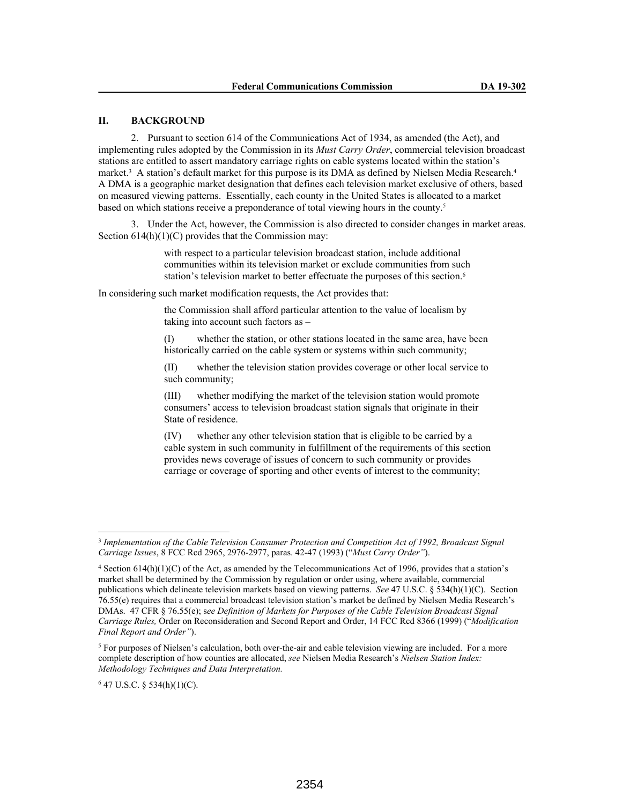# **II. BACKGROUND**

2. Pursuant to section 614 of the Communications Act of 1934, as amended (the Act), and implementing rules adopted by the Commission in its *Must Carry Order*, commercial television broadcast stations are entitled to assert mandatory carriage rights on cable systems located within the station's market.<sup>3</sup> A station's default market for this purpose is its DMA as defined by Nielsen Media Research.<sup>4</sup> A DMA is a geographic market designation that defines each television market exclusive of others, based on measured viewing patterns. Essentially, each county in the United States is allocated to a market based on which stations receive a preponderance of total viewing hours in the county.<sup>5</sup>

3. Under the Act, however, the Commission is also directed to consider changes in market areas. Section  $614(h)(1)(C)$  provides that the Commission may:

> with respect to a particular television broadcast station, include additional communities within its television market or exclude communities from such station's television market to better effectuate the purposes of this section.<sup>6</sup>

In considering such market modification requests, the Act provides that:

the Commission shall afford particular attention to the value of localism by taking into account such factors as –

(I) whether the station, or other stations located in the same area, have been historically carried on the cable system or systems within such community;

(II) whether the television station provides coverage or other local service to such community;

(III) whether modifying the market of the television station would promote consumers' access to television broadcast station signals that originate in their State of residence.

(IV) whether any other television station that is eligible to be carried by a cable system in such community in fulfillment of the requirements of this section provides news coverage of issues of concern to such community or provides carriage or coverage of sporting and other events of interest to the community;

 $6$  47 U.S.C. § 534(h)(1)(C).

<sup>&</sup>lt;sup>3</sup> Implementation of the Cable Television Consumer Protection and Competition Act of 1992, Broadcast Signal *Carriage Issues*, 8 FCC Rcd 2965, 2976-2977, paras. 42-47 (1993) ("*Must Carry Order"*).

<sup>4</sup> Section 614(h)(1)(C) of the Act, as amended by the Telecommunications Act of 1996, provides that a station's market shall be determined by the Commission by regulation or order using, where available, commercial publications which delineate television markets based on viewing patterns. *See* 47 U.S.C. § 534(h)(1)(C). Section 76.55(e) requires that a commercial broadcast television station's market be defined by Nielsen Media Research's DMAs. 47 CFR § 76.55(e); s*ee Definition of Markets for Purposes of the Cable Television Broadcast Signal Carriage Rules,* Order on Reconsideration and Second Report and Order, 14 FCC Rcd 8366 (1999) ("*Modification Final Report and Order"*).

<sup>&</sup>lt;sup>5</sup> For purposes of Nielsen's calculation, both over-the-air and cable television viewing are included. For a more complete description of how counties are allocated, *see* Nielsen Media Research's *Nielsen Station Index: Methodology Techniques and Data Interpretation.*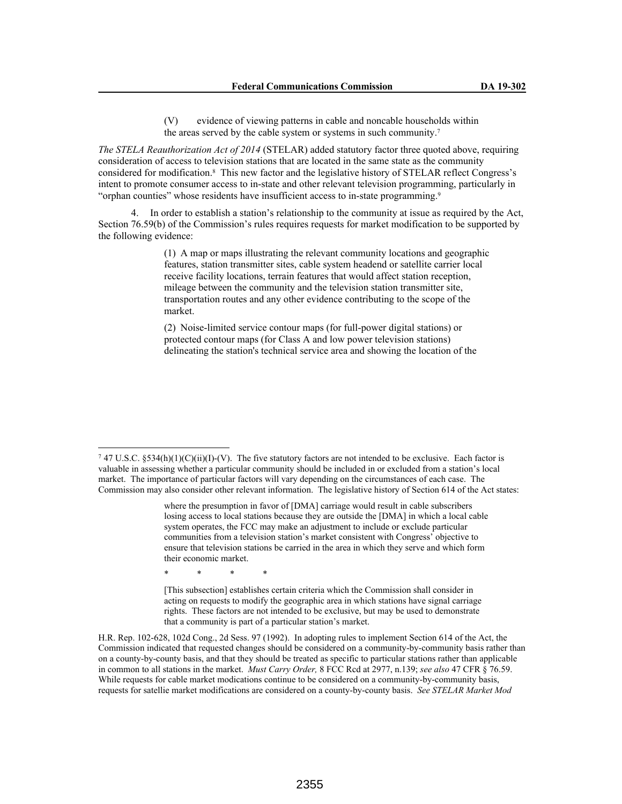(V) evidence of viewing patterns in cable and noncable households within the areas served by the cable system or systems in such community.<sup>7</sup>

*The STELA Reauthorization Act of 2014* (STELAR) added statutory factor three quoted above, requiring consideration of access to television stations that are located in the same state as the community considered for modification.<sup>8</sup> This new factor and the legislative history of STELAR reflect Congress's intent to promote consumer access to in-state and other relevant television programming, particularly in "orphan counties" whose residents have insufficient access to in-state programming.<sup>9</sup>

4. In order to establish a station's relationship to the community at issue as required by the Act, Section 76.59(b) of the Commission's rules requires requests for market modification to be supported by the following evidence:

> (1) A map or maps illustrating the relevant community locations and geographic features, station transmitter sites, cable system headend or satellite carrier local receive facility locations, terrain features that would affect station reception, mileage between the community and the television station transmitter site, transportation routes and any other evidence contributing to the scope of the market.

(2) Noise-limited service contour maps (for full-power digital stations) or protected contour maps (for Class A and low power television stations) delineating the station's technical service area and showing the location of the

\* \* \* \*

[This subsection] establishes certain criteria which the Commission shall consider in acting on requests to modify the geographic area in which stations have signal carriage rights. These factors are not intended to be exclusive, but may be used to demonstrate that a community is part of a particular station's market.

H.R. Rep. 102-628, 102d Cong., 2d Sess. 97 (1992). In adopting rules to implement Section 614 of the Act, the Commission indicated that requested changes should be considered on a community-by-community basis rather than on a county-by-county basis, and that they should be treated as specific to particular stations rather than applicable in common to all stations in the market. *Must Carry Order,* 8 FCC Rcd at 2977, n.139; *see also* 47 CFR § 76.59. While requests for cable market modications continue to be considered on a community-by-community basis, requests for satellie market modifications are considered on a county-by-county basis. *See STELAR Market Mod* 

<sup>&</sup>lt;sup>7</sup> 47 U.S.C. §534(h)(1)(C)(ii)(I)-(V). The five statutory factors are not intended to be exclusive. Each factor is valuable in assessing whether a particular community should be included in or excluded from a station's local market. The importance of particular factors will vary depending on the circumstances of each case. The Commission may also consider other relevant information. The legislative history of Section 614 of the Act states:

where the presumption in favor of [DMA] carriage would result in cable subscribers losing access to local stations because they are outside the [DMA] in which a local cable system operates, the FCC may make an adjustment to include or exclude particular communities from a television station's market consistent with Congress' objective to ensure that television stations be carried in the area in which they serve and which form their economic market.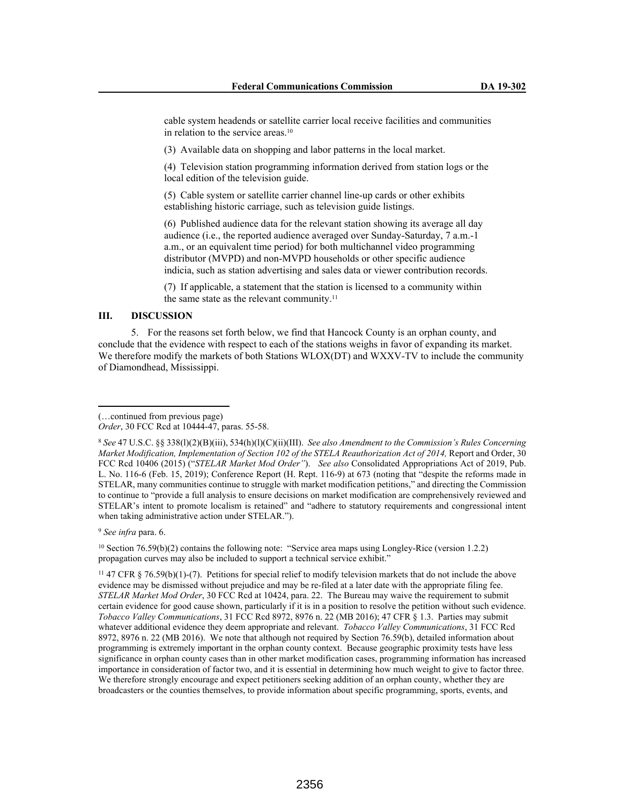cable system headends or satellite carrier local receive facilities and communities in relation to the service areas.<sup>10</sup>

(3) Available data on shopping and labor patterns in the local market.

(4) Television station programming information derived from station logs or the local edition of the television guide.

(5) Cable system or satellite carrier channel line-up cards or other exhibits establishing historic carriage, such as television guide listings.

(6) Published audience data for the relevant station showing its average all day audience (i.e., the reported audience averaged over Sunday-Saturday, 7 a.m.-1 a.m., or an equivalent time period) for both multichannel video programming distributor (MVPD) and non-MVPD households or other specific audience indicia, such as station advertising and sales data or viewer contribution records.

(7) If applicable, a statement that the station is licensed to a community within the same state as the relevant community.<sup>11</sup>

#### **III. DISCUSSION**

5. For the reasons set forth below, we find that Hancock County is an orphan county, and conclude that the evidence with respect to each of the stations weighs in favor of expanding its market. We therefore modify the markets of both Stations WLOX(DT) and WXXV-TV to include the community of Diamondhead, Mississippi.

<sup>9</sup> *See infra* para. 6.

<sup>10</sup> Section 76.59(b)(2) contains the following note: "Service area maps using Longley-Rice (version 1.2.2) propagation curves may also be included to support a technical service exhibit."

<sup>11</sup> 47 CFR § 76.59(b)(1)-(7). Petitions for special relief to modify television markets that do not include the above evidence may be dismissed without prejudice and may be re-filed at a later date with the appropriate filing fee. *STELAR Market Mod Order*, 30 FCC Rcd at 10424, para. 22. The Bureau may waive the requirement to submit certain evidence for good cause shown, particularly if it is in a position to resolve the petition without such evidence. *Tobacco Valley Communications*, 31 FCC Rcd 8972, 8976 n. 22 (MB 2016); 47 CFR § 1.3. Parties may submit whatever additional evidence they deem appropriate and relevant. *Tobacco Valley Communications*, 31 FCC Rcd 8972, 8976 n. 22 (MB 2016). We note that although not required by Section 76.59(b), detailed information about programming is extremely important in the orphan county context. Because geographic proximity tests have less significance in orphan county cases than in other market modification cases, programming information has increased importance in consideration of factor two, and it is essential in determining how much weight to give to factor three. We therefore strongly encourage and expect petitioners seeking addition of an orphan county, whether they are broadcasters or the counties themselves, to provide information about specific programming, sports, events, and

<sup>(…</sup>continued from previous page)

*Order*, 30 FCC Rcd at 10444-47, paras. 55-58.

<sup>8</sup> *See* 47 U.S.C. §§ 338(l)(2)(B)(iii), 534(h)(l)(C)(ii)(III). *See also Amendment to the Commission's Rules Concerning Market Modification, Implementation of Section 102 of the STELA Reauthorization Act of 2014, Report and Order, 30* FCC Rcd 10406 (2015) ("*STELAR Market Mod Order"*). *See also* Consolidated Appropriations Act of 2019, Pub. L. No. 116-6 (Feb. 15, 2019); Conference Report (H. Rept. 116-9) at 673 (noting that "despite the reforms made in STELAR, many communities continue to struggle with market modification petitions," and directing the Commission to continue to "provide a full analysis to ensure decisions on market modification are comprehensively reviewed and STELAR's intent to promote localism is retained" and "adhere to statutory requirements and congressional intent when taking administrative action under STELAR.").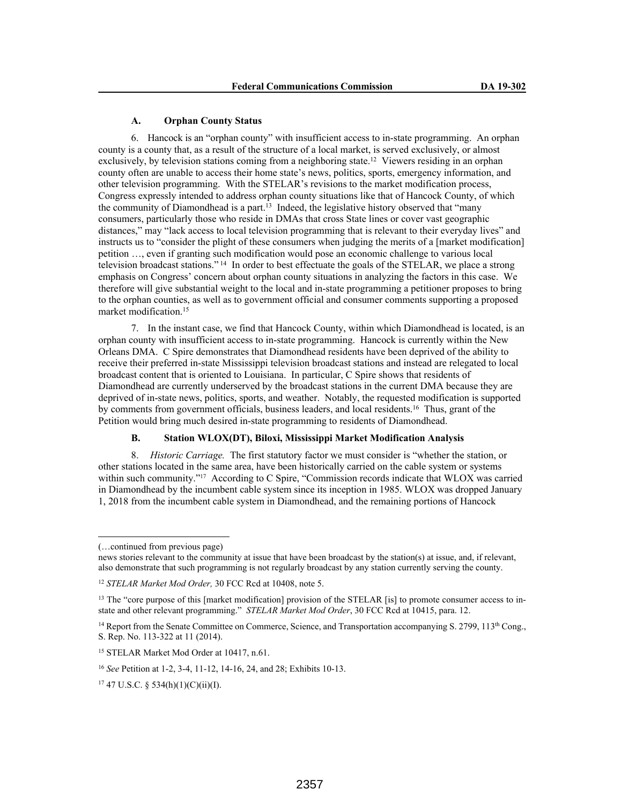### **A. Orphan County Status**

6. Hancock is an "orphan county" with insufficient access to in-state programming. An orphan county is a county that, as a result of the structure of a local market, is served exclusively, or almost exclusively, by television stations coming from a neighboring state.<sup>12</sup> Viewers residing in an orphan county often are unable to access their home state's news, politics, sports, emergency information, and other television programming. With the STELAR's revisions to the market modification process, Congress expressly intended to address orphan county situations like that of Hancock County, of which the community of Diamondhead is a part.<sup>13</sup> Indeed, the legislative history observed that "many" consumers, particularly those who reside in DMAs that cross State lines or cover vast geographic distances," may "lack access to local television programming that is relevant to their everyday lives" and instructs us to "consider the plight of these consumers when judging the merits of a [market modification] petition …, even if granting such modification would pose an economic challenge to various local television broadcast stations."<sup>14</sup> In order to best effectuate the goals of the STELAR, we place a strong emphasis on Congress' concern about orphan county situations in analyzing the factors in this case. We therefore will give substantial weight to the local and in-state programming a petitioner proposes to bring to the orphan counties, as well as to government official and consumer comments supporting a proposed market modification.<sup>15</sup>

7. In the instant case, we find that Hancock County, within which Diamondhead is located, is an orphan county with insufficient access to in-state programming. Hancock is currently within the New Orleans DMA. C Spire demonstrates that Diamondhead residents have been deprived of the ability to receive their preferred in-state Mississippi television broadcast stations and instead are relegated to local broadcast content that is oriented to Louisiana. In particular, C Spire shows that residents of Diamondhead are currently underserved by the broadcast stations in the current DMA because they are deprived of in-state news, politics, sports, and weather. Notably, the requested modification is supported by comments from government officials, business leaders, and local residents.<sup>16</sup> Thus, grant of the Petition would bring much desired in-state programming to residents of Diamondhead.

## **B. Station WLOX(DT), Biloxi, Mississippi Market Modification Analysis**

8. *Historic Carriage.* The first statutory factor we must consider is "whether the station, or other stations located in the same area, have been historically carried on the cable system or systems within such community."<sup>17</sup> According to C Spire, "Commission records indicate that WLOX was carried in Diamondhead by the incumbent cable system since its inception in 1985. WLOX was dropped January 1, 2018 from the incumbent cable system in Diamondhead, and the remaining portions of Hancock

<sup>(…</sup>continued from previous page)

news stories relevant to the community at issue that have been broadcast by the station(s) at issue, and, if relevant, also demonstrate that such programming is not regularly broadcast by any station currently serving the county.

<sup>12</sup> *STELAR Market Mod Order,* 30 FCC Rcd at 10408, note 5.

<sup>&</sup>lt;sup>13</sup> The "core purpose of this [market modification] provision of the STELAR [is] to promote consumer access to instate and other relevant programming." *STELAR Market Mod Order*, 30 FCC Rcd at 10415, para. 12.

<sup>&</sup>lt;sup>14</sup> Report from the Senate Committee on Commerce, Science, and Transportation accompanying S. 2799, 113<sup>th</sup> Cong., S. Rep. No. 113-322 at 11 (2014).

<sup>15</sup> STELAR Market Mod Order at 10417, n.61.

<sup>16</sup> *See* Petition at 1-2, 3-4, 11-12, 14-16, 24, and 28; Exhibits 10-13.

 $17$  47 U.S.C. § 534(h)(1)(C)(ii)(I).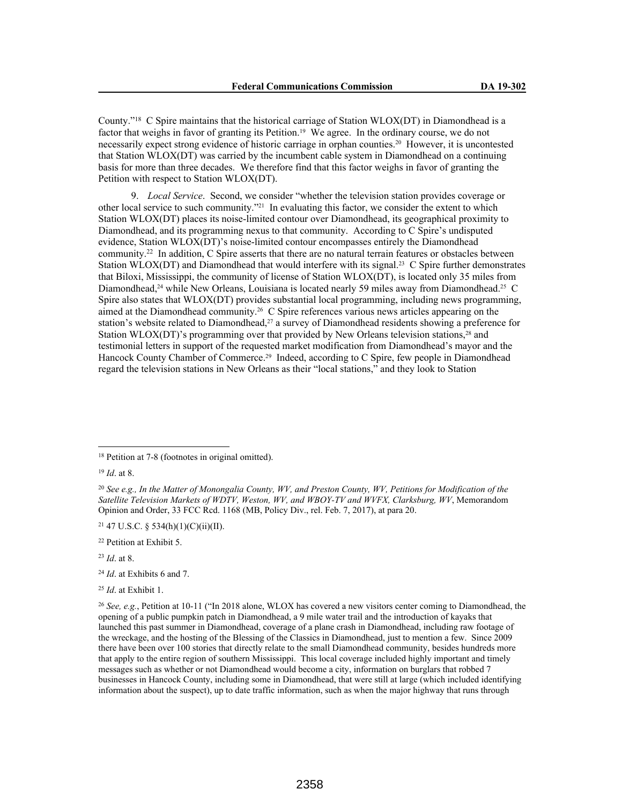County."<sup>18</sup> C Spire maintains that the historical carriage of Station WLOX(DT) in Diamondhead is a factor that weighs in favor of granting its Petition.19 We agree. In the ordinary course, we do not necessarily expect strong evidence of historic carriage in orphan counties.20 However, it is uncontested that Station WLOX(DT) was carried by the incumbent cable system in Diamondhead on a continuing basis for more than three decades. We therefore find that this factor weighs in favor of granting the Petition with respect to Station WLOX(DT).

9. *Local Service*. Second, we consider "whether the television station provides coverage or other local service to such community."21 In evaluating this factor, we consider the extent to which Station WLOX(DT) places its noise-limited contour over Diamondhead, its geographical proximity to Diamondhead, and its programming nexus to that community. According to C Spire's undisputed evidence, Station WLOX(DT)'s noise-limited contour encompasses entirely the Diamondhead community.<sup>22</sup> In addition, C Spire asserts that there are no natural terrain features or obstacles between Station WLOX(DT) and Diamondhead that would interfere with its signal.23 C Spire further demonstrates that Biloxi, Mississippi, the community of license of Station WLOX(DT), is located only 35 miles from Diamondhead,<sup>24</sup> while New Orleans, Louisiana is located nearly 59 miles away from Diamondhead.<sup>25</sup> C Spire also states that WLOX(DT) provides substantial local programming, including news programming, aimed at the Diamondhead community.26 C Spire references various news articles appearing on the station's website related to Diamondhead,<sup>27</sup> a survey of Diamondhead residents showing a preference for Station WLOX(DT)'s programming over that provided by New Orleans television stations,28 and testimonial letters in support of the requested market modification from Diamondhead's mayor and the Hancock County Chamber of Commerce.29 Indeed, according to C Spire, few people in Diamondhead regard the television stations in New Orleans as their "local stations," and they look to Station

 $21$  47 U.S.C. § 534(h)(1)(C)(ii)(II).

- <sup>24</sup> *Id*. at Exhibits 6 and 7.
- <sup>25</sup> *Id*. at Exhibit 1.

<sup>18</sup> Petition at 7-8 (footnotes in original omitted).

<sup>19</sup> *Id*. at 8.

<sup>20</sup> *See e.g., In the Matter of Monongalia County, WV, and Preston County, WV, Petitions for Modification of the Satellite Television Markets of WDTV, Weston, WV, and WBOY-TV and WVFX, Clarksburg, WV*, Memorandom Opinion and Order, 33 FCC Rcd. 1168 (MB, Policy Div., rel. Feb. 7, 2017), at para 20.

<sup>22</sup> Petition at Exhibit 5.

<sup>23</sup> *Id*. at 8.

<sup>26</sup> *See, e.g.*, Petition at 10-11 ("In 2018 alone, WLOX has covered a new visitors center coming to Diamondhead, the opening of a public pumpkin patch in Diamondhead, a 9 mile water trail and the introduction of kayaks that launched this past summer in Diamondhead, coverage of a plane crash in Diamondhead, including raw footage of the wreckage, and the hosting of the Blessing of the Classics in Diamondhead, just to mention a few. Since 2009 there have been over 100 stories that directly relate to the small Diamondhead community, besides hundreds more that apply to the entire region of southern Mississippi. This local coverage included highly important and timely messages such as whether or not Diamondhead would become a city, information on burglars that robbed 7 businesses in Hancock County, including some in Diamondhead, that were still at large (which included identifying information about the suspect), up to date traffic information, such as when the major highway that runs through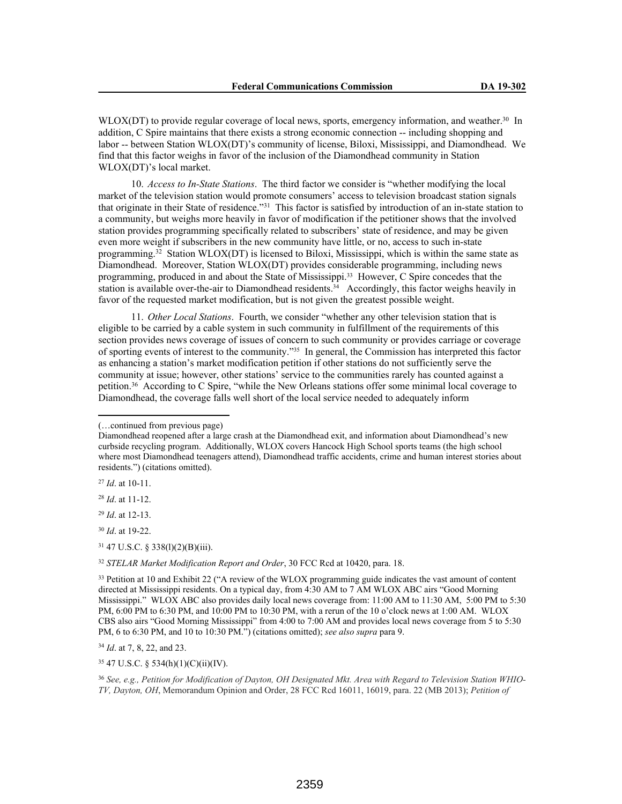WLOX(DT) to provide regular coverage of local news, sports, emergency information, and weather.<sup>30</sup> In addition, C Spire maintains that there exists a strong economic connection -- including shopping and labor -- between Station WLOX(DT)'s community of license, Biloxi, Mississippi, and Diamondhead. We find that this factor weighs in favor of the inclusion of the Diamondhead community in Station WLOX(DT)'s local market.

10. *Access to In-State Stations*. The third factor we consider is "whether modifying the local market of the television station would promote consumers' access to television broadcast station signals that originate in their State of residence."<sup>31</sup> This factor is satisfied by introduction of an in-state station to a community, but weighs more heavily in favor of modification if the petitioner shows that the involved station provides programming specifically related to subscribers' state of residence, and may be given even more weight if subscribers in the new community have little, or no, access to such in-state programming.<sup>32</sup> Station WLOX(DT) is licensed to Biloxi, Mississippi, which is within the same state as Diamondhead. Moreover, Station WLOX(DT) provides considerable programming, including news programming, produced in and about the State of Mississippi.33 However, C Spire concedes that the station is available over-the-air to Diamondhead residents.<sup>34</sup> Accordingly, this factor weighs heavily in favor of the requested market modification, but is not given the greatest possible weight.

11. *Other Local Stations*. Fourth, we consider "whether any other television station that is eligible to be carried by a cable system in such community in fulfillment of the requirements of this section provides news coverage of issues of concern to such community or provides carriage or coverage of sporting events of interest to the community."35 In general, the Commission has interpreted this factor as enhancing a station's market modification petition if other stations do not sufficiently serve the community at issue; however, other stations' service to the communities rarely has counted against a petition.<sup>36</sup> According to C Spire, "while the New Orleans stations offer some minimal local coverage to Diamondhead, the coverage falls well short of the local service needed to adequately inform

<sup>27</sup> *Id*. at 10-11.

<sup>29</sup> *Id*. at 12-13.

<sup>30</sup> *Id*. at 19-22.

<sup>31</sup> 47 U.S.C. § 338(l)(2)(B)(iii).

<sup>32</sup> *STELAR Market Modification Report and Order*, 30 FCC Rcd at 10420, para. 18.

<sup>33</sup> Petition at 10 and Exhibit 22 ("A review of the WLOX programming guide indicates the vast amount of content directed at Mississippi residents. On a typical day, from 4:30 AM to 7 AM WLOX ABC airs "Good Morning Mississippi." WLOX ABC also provides daily local news coverage from: 11:00 AM to 11:30 AM, 5:00 PM to 5:30 PM, 6:00 PM to 6:30 PM, and 10:00 PM to 10:30 PM, with a rerun of the 10 o'clock news at 1:00 AM. WLOX CBS also airs "Good Morning Mississippi" from 4:00 to 7:00 AM and provides local news coverage from 5 to 5:30 PM, 6 to 6:30 PM, and 10 to 10:30 PM.") (citations omitted); *see also supra* para 9.

<sup>34</sup> *Id*. at 7, 8, 22, and 23.

<sup>35</sup> 47 U.S.C. § 534(h)(1)(C)(ii)(IV).

<sup>36</sup> *See, e.g., Petition for Modification of Dayton, OH Designated Mkt. Area with Regard to Television Station WHIO-TV, Dayton, OH*, Memorandum Opinion and Order, 28 FCC Rcd 16011, 16019, para. 22 (MB 2013); *Petition of* 

<sup>(…</sup>continued from previous page)

Diamondhead reopened after a large crash at the Diamondhead exit, and information about Diamondhead's new curbside recycling program. Additionally, WLOX covers Hancock High School sports teams (the high school where most Diamondhead teenagers attend), Diamondhead traffic accidents, crime and human interest stories about residents.") (citations omitted).

<sup>28</sup> *Id*. at 11-12.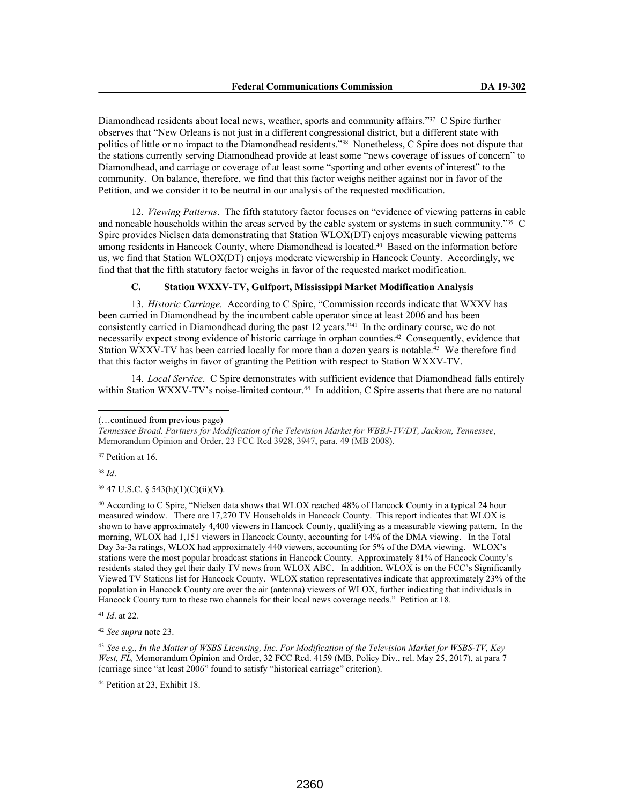Diamondhead residents about local news, weather, sports and community affairs."37 C Spire further observes that "New Orleans is not just in a different congressional district, but a different state with politics of little or no impact to the Diamondhead residents."38 Nonetheless, C Spire does not dispute that the stations currently serving Diamondhead provide at least some "news coverage of issues of concern" to Diamondhead, and carriage or coverage of at least some "sporting and other events of interest" to the community. On balance, therefore, we find that this factor weighs neither against nor in favor of the Petition, and we consider it to be neutral in our analysis of the requested modification.

12. *Viewing Patterns*. The fifth statutory factor focuses on "evidence of viewing patterns in cable and noncable households within the areas served by the cable system or systems in such community."<sup>39</sup> C Spire provides Nielsen data demonstrating that Station WLOX(DT) enjoys measurable viewing patterns among residents in Hancock County, where Diamondhead is located.40 Based on the information before us, we find that Station WLOX(DT) enjoys moderate viewership in Hancock County. Accordingly, we find that that the fifth statutory factor weighs in favor of the requested market modification.

# **C. Station WXXV-TV, Gulfport, Mississippi Market Modification Analysis**

13. *Historic Carriage.* According to C Spire, "Commission records indicate that WXXV has been carried in Diamondhead by the incumbent cable operator since at least 2006 and has been consistently carried in Diamondhead during the past 12 years."41 In the ordinary course, we do not necessarily expect strong evidence of historic carriage in orphan counties.42 Consequently, evidence that Station WXXV-TV has been carried locally for more than a dozen years is notable.<sup>43</sup> We therefore find that this factor weighs in favor of granting the Petition with respect to Station WXXV-TV.

14. *Local Service*. C Spire demonstrates with sufficient evidence that Diamondhead falls entirely within Station WXXV-TV's noise-limited contour.<sup>44</sup> In addition, C Spire asserts that there are no natural

<sup>37</sup> Petition at 16.

<sup>38</sup> *Id*.

<sup>39</sup> 47 U.S.C. § 543(h)(1)(C)(ii)(V).

<sup>40</sup> According to C Spire, "Nielsen data shows that WLOX reached 48% of Hancock County in a typical 24 hour measured window. There are 17,270 TV Households in Hancock County. This report indicates that WLOX is shown to have approximately 4,400 viewers in Hancock County, qualifying as a measurable viewing pattern. In the morning, WLOX had 1,151 viewers in Hancock County, accounting for 14% of the DMA viewing. In the Total Day 3a-3a ratings, WLOX had approximately 440 viewers, accounting for 5% of the DMA viewing. WLOX's stations were the most popular broadcast stations in Hancock County. Approximately 81% of Hancock County's residents stated they get their daily TV news from WLOX ABC. In addition, WLOX is on the FCC's Significantly Viewed TV Stations list for Hancock County. WLOX station representatives indicate that approximately 23% of the population in Hancock County are over the air (antenna) viewers of WLOX, further indicating that individuals in Hancock County turn to these two channels for their local news coverage needs." Petition at 18.

<sup>41</sup> *Id*. at 22.

<sup>42</sup> *See supra* note 23.

<sup>44</sup> Petition at 23, Exhibit 18.

<sup>(…</sup>continued from previous page)

*Tennessee Broad. Partners for Modification of the Television Market for WBBJ-TV/DT, Jackson, Tennessee*, Memorandum Opinion and Order, 23 FCC Rcd 3928, 3947, para. 49 (MB 2008).

<sup>43</sup> *See e.g., In the Matter of WSBS Licensing, Inc. For Modification of the Television Market for WSBS-TV, Key West, FL,* Memorandum Opinion and Order, 32 FCC Rcd. 4159 (MB, Policy Div., rel. May 25, 2017), at para 7 (carriage since "at least 2006" found to satisfy "historical carriage" criterion).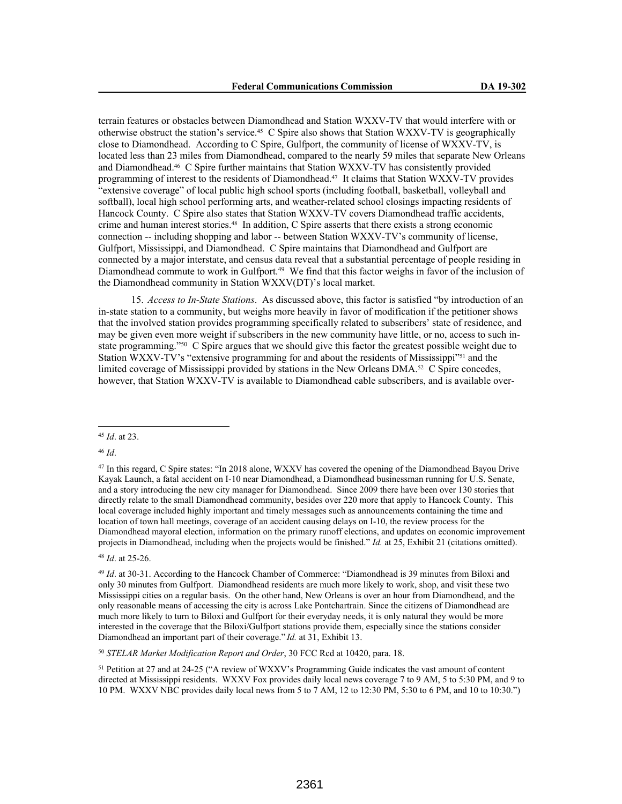terrain features or obstacles between Diamondhead and Station WXXV-TV that would interfere with or otherwise obstruct the station's service.45 C Spire also shows that Station WXXV-TV is geographically close to Diamondhead. According to C Spire, Gulfport, the community of license of WXXV-TV, is located less than 23 miles from Diamondhead, compared to the nearly 59 miles that separate New Orleans and Diamondhead.46 C Spire further maintains that Station WXXV-TV has consistently provided programming of interest to the residents of Diamondhead.47 It claims that Station WXXV-TV provides "extensive coverage" of local public high school sports (including football, basketball, volleyball and softball), local high school performing arts, and weather-related school closings impacting residents of Hancock County. C Spire also states that Station WXXV-TV covers Diamondhead traffic accidents, crime and human interest stories.48 In addition, C Spire asserts that there exists a strong economic connection -- including shopping and labor -- between Station WXXV-TV's community of license, Gulfport, Mississippi, and Diamondhead. C Spire maintains that Diamondhead and Gulfport are connected by a major interstate, and census data reveal that a substantial percentage of people residing in Diamondhead commute to work in Gulfport.<sup>49</sup> We find that this factor weighs in favor of the inclusion of the Diamondhead community in Station WXXV(DT)'s local market.

15. *Access to In-State Stations*. As discussed above, this factor is satisfied "by introduction of an in-state station to a community, but weighs more heavily in favor of modification if the petitioner shows that the involved station provides programming specifically related to subscribers' state of residence, and may be given even more weight if subscribers in the new community have little, or no, access to such instate programming."<sup>50</sup> C Spire argues that we should give this factor the greatest possible weight due to Station WXXV-TV's "extensive programming for and about the residents of Mississippi"<sup>51</sup> and the limited coverage of Mississippi provided by stations in the New Orleans DMA.52 C Spire concedes, however, that Station WXXV-TV is available to Diamondhead cable subscribers, and is available over-

<sup>46</sup> *Id*.

<sup>48</sup> *Id*. at 25-26.

<sup>50</sup> *STELAR Market Modification Report and Order*, 30 FCC Rcd at 10420, para. 18.

<sup>51</sup> Petition at 27 and at 24-25 ("A review of WXXV's Programming Guide indicates the vast amount of content directed at Mississippi residents. WXXV Fox provides daily local news coverage 7 to 9 AM, 5 to 5:30 PM, and 9 to 10 PM. WXXV NBC provides daily local news from 5 to 7 AM, 12 to 12:30 PM, 5:30 to 6 PM, and 10 to 10:30.")

<sup>45</sup> *Id*. at 23.

<sup>47</sup> In this regard, C Spire states: "In 2018 alone, WXXV has covered the opening of the Diamondhead Bayou Drive Kayak Launch, a fatal accident on I-10 near Diamondhead, a Diamondhead businessman running for U.S. Senate, and a story introducing the new city manager for Diamondhead. Since 2009 there have been over 130 stories that directly relate to the small Diamondhead community, besides over 220 more that apply to Hancock County. This local coverage included highly important and timely messages such as announcements containing the time and location of town hall meetings, coverage of an accident causing delays on I-10, the review process for the Diamondhead mayoral election, information on the primary runoff elections, and updates on economic improvement projects in Diamondhead, including when the projects would be finished." *Id.* at 25, Exhibit 21 (citations omitted).

<sup>49</sup> *Id*. at 30-31. According to the Hancock Chamber of Commerce: "Diamondhead is 39 minutes from Biloxi and only 30 minutes from Gulfport. Diamondhead residents are much more likely to work, shop, and visit these two Mississippi cities on a regular basis. On the other hand, New Orleans is over an hour from Diamondhead, and the only reasonable means of accessing the city is across Lake Pontchartrain. Since the citizens of Diamondhead are much more likely to turn to Biloxi and Gulfport for their everyday needs, it is only natural they would be more interested in the coverage that the Biloxi/Gulfport stations provide them, especially since the stations consider Diamondhead an important part of their coverage." *Id.* at 31, Exhibit 13.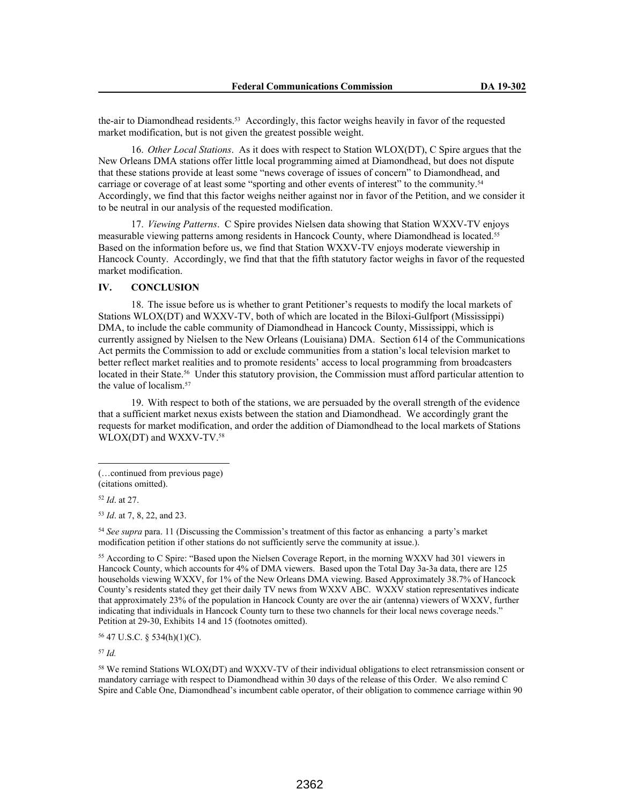the-air to Diamondhead residents.53 Accordingly, this factor weighs heavily in favor of the requested market modification, but is not given the greatest possible weight.

16. *Other Local Stations*. As it does with respect to Station WLOX(DT), C Spire argues that the New Orleans DMA stations offer little local programming aimed at Diamondhead, but does not dispute that these stations provide at least some "news coverage of issues of concern" to Diamondhead, and carriage or coverage of at least some "sporting and other events of interest" to the community.<sup>54</sup> Accordingly, we find that this factor weighs neither against nor in favor of the Petition, and we consider it to be neutral in our analysis of the requested modification.

17. *Viewing Patterns*. C Spire provides Nielsen data showing that Station WXXV-TV enjoys measurable viewing patterns among residents in Hancock County, where Diamondhead is located.<sup>55</sup> Based on the information before us, we find that Station WXXV-TV enjoys moderate viewership in Hancock County. Accordingly, we find that that the fifth statutory factor weighs in favor of the requested market modification.

# **IV. CONCLUSION**

18. The issue before us is whether to grant Petitioner's requests to modify the local markets of Stations WLOX(DT) and WXXV-TV, both of which are located in the Biloxi-Gulfport (Mississippi) DMA, to include the cable community of Diamondhead in Hancock County, Mississippi, which is currently assigned by Nielsen to the New Orleans (Louisiana) DMA. Section 614 of the Communications Act permits the Commission to add or exclude communities from a station's local television market to better reflect market realities and to promote residents' access to local programming from broadcasters located in their State.<sup>56</sup> Under this statutory provision, the Commission must afford particular attention to the value of localism.<sup>57</sup>

19. With respect to both of the stations, we are persuaded by the overall strength of the evidence that a sufficient market nexus exists between the station and Diamondhead. We accordingly grant the requests for market modification, and order the addition of Diamondhead to the local markets of Stations WLOX(DT) and WXXV-TV.58

<sup>52</sup> *Id*. at 27.

<sup>53</sup> *Id*. at 7, 8, 22, and 23.

<sup>54</sup> *See supra* para. 11 (Discussing the Commission's treatment of this factor as enhancing a party's market modification petition if other stations do not sufficiently serve the community at issue.).

<sup>55</sup> According to C Spire: "Based upon the Nielsen Coverage Report, in the morning WXXV had 301 viewers in Hancock County, which accounts for 4% of DMA viewers. Based upon the Total Day 3a-3a data, there are 125 households viewing WXXV, for 1% of the New Orleans DMA viewing. Based Approximately 38.7% of Hancock County's residents stated they get their daily TV news from WXXV ABC. WXXV station representatives indicate that approximately 23% of the population in Hancock County are over the air (antenna) viewers of WXXV, further indicating that individuals in Hancock County turn to these two channels for their local news coverage needs." Petition at 29-30, Exhibits 14 and 15 (footnotes omitted).

<sup>56</sup> 47 U.S.C. § 534(h)(1)(C).

<sup>57</sup> *Id.*

<sup>58</sup> We remind Stations WLOX(DT) and WXXV-TV of their individual obligations to elect retransmission consent or mandatory carriage with respect to Diamondhead within 30 days of the release of this Order. We also remind C Spire and Cable One, Diamondhead's incumbent cable operator, of their obligation to commence carriage within 90

<sup>(…</sup>continued from previous page)

<sup>(</sup>citations omitted).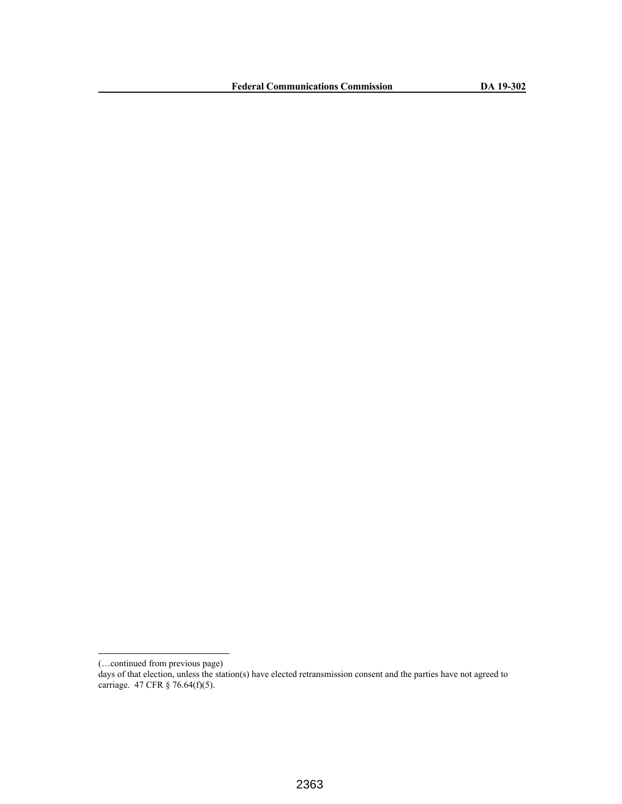**Federal Communications Commission DA 19-302**

<sup>(…</sup>continued from previous page)

days of that election, unless the station(s) have elected retransmission consent and the parties have not agreed to carriage. 47 CFR § 76.64(f)(5).